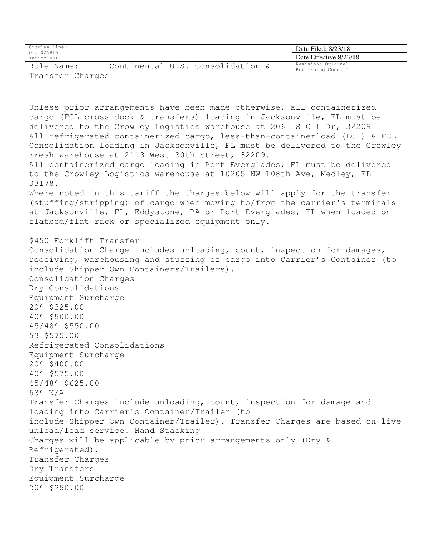| Crowley Liner<br>Org 025816                                                                                          | Date Filed: 8/23/18                      |
|----------------------------------------------------------------------------------------------------------------------|------------------------------------------|
| Tariff 001                                                                                                           | Date Effective 8/23/18                   |
| Continental U.S. Consolidation &<br>Rule Name:                                                                       | Revision: Original<br>Publishing Code: I |
| Transfer Charges                                                                                                     |                                          |
|                                                                                                                      |                                          |
|                                                                                                                      |                                          |
| Unless prior arrangements have been made otherwise, all containerized                                                |                                          |
| cargo (FCL cross dock & transfers) loading in Jacksonville, FL must be                                               |                                          |
| delivered to the Crowley Logistics warehouse at 2061 S C L Dr, 32209                                                 |                                          |
| All refrigerated containerized cargo, less-than-containerload (LCL) & FCL                                            |                                          |
| Consolidation loading in Jacksonville, FL must be delivered to the Crowley                                           |                                          |
| Fresh warehouse at 2113 West 30th Street, 32209.                                                                     |                                          |
| All containerized cargo loading in Port Everglades, FL must be delivered                                             |                                          |
| to the Crowley Logistics warehouse at 10205 NW 108th Ave, Medley, FL                                                 |                                          |
| 33178.                                                                                                               |                                          |
| Where noted in this tariff the charges below will apply for the transfer                                             |                                          |
| (stuffing/stripping) of cargo when moving to/from the carrier's terminals                                            |                                          |
| at Jacksonville, FL, Eddystone, PA or Port Everglades, FL when loaded on                                             |                                          |
| flatbed/flat rack or specialized equipment only.                                                                     |                                          |
| \$450 Forklift Transfer                                                                                              |                                          |
| Consolidation Charge includes unloading, count, inspection for damages,                                              |                                          |
| receiving, warehousing and stuffing of cargo into Carrier's Container (to                                            |                                          |
| include Shipper Own Containers/Trailers).                                                                            |                                          |
| Consolidation Charges                                                                                                |                                          |
| Dry Consolidations                                                                                                   |                                          |
| Equipment Surcharge                                                                                                  |                                          |
| 20' \$325.00                                                                                                         |                                          |
| 40' \$500.00                                                                                                         |                                          |
| 45/48' \$550.00                                                                                                      |                                          |
| 53 \$575.00                                                                                                          |                                          |
| Refrigerated Consolidations                                                                                          |                                          |
| Equipment Surcharge                                                                                                  |                                          |
| 20' \$400.00                                                                                                         |                                          |
| 40' \$575.00                                                                                                         |                                          |
| 45/48' \$625.00                                                                                                      |                                          |
| $53'$ N/A                                                                                                            |                                          |
| Transfer Charges include unloading, count, inspection for damage and<br>loading into Carrier's Container/Trailer (to |                                          |
| include Shipper Own Container/Trailer). Transfer Charges are based on live                                           |                                          |
| unload/load service. Hand Stacking                                                                                   |                                          |
| Charges will be applicable by prior arrangements only (Dry &                                                         |                                          |
| Refrigerated).                                                                                                       |                                          |
| Transfer Charges                                                                                                     |                                          |
| Dry Transfers                                                                                                        |                                          |
| Equipment Surcharge                                                                                                  |                                          |
| 20' \$250.00                                                                                                         |                                          |